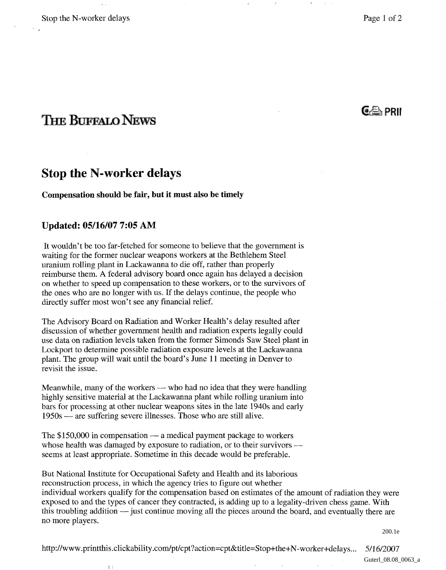$G \oplus PRI$ 

11

# **THE BUFFALO NEWS**

## **Stop the N-worker delays**

#### **Compensation should be fair, but it must also be timely**

### **Updated: 05/16/07 7:05 AM**

 $\pm$ 

It wouldn't be too far-fetched for someone to believe that the government is waiting for the former nuclear weapons workers at the Bethlehem Steel uranium rolling plant in Lackawanna to die off, rather than properly reimburse them. A federal advisory board once again has delayed a decision on whether to speed up compensation to these workers, or to the survivors of the ones who are no longer with us. If the delays continue, the people who directly suffer most won't see any financial relief.

The Advisory Board on Radiation and Worker Health's delay resulted after discussion of whether government health and radiation experts legally could use data on radiation levels taken from the former Simonds Saw Steel plant in Lockport to determine possible radiation exposure levels at the Lackawanna plant. The group will wait until the board's June 11 meeting in Denver to revisit the issue.

Meanwhile, many of the workers — who had no idea that they were handling highly sensitive material at the Lackawanna plant while rolling uranium into bars for processing at other nuclear weapons sites in the late 1940s and early 1950s — are suffering severe illnesses. Those who are still alive.

1950s — are suffering severe illnesses. Those who are still alive.<br>The \$150,000 in compensation — a medical payment package to workers<br>whose has the west democrat by expecting to rediction on to their symmetry The \$150,000 in compensation — a medical payment package to workers<br>whose health was damaged by exposure to radiation, or to their survivors seems at least appropriate. Sometime in this decade would be preferable.

But National Institute for Occupational Safety and Health and its laborious reconstruction process, in which the agency tries to figure out whether individual workers qualify for the compensation based on estimates of the amount of radiation they were exposed to and the types of cancer they contracted, is adding up to a legality-driven chess game. With this troubling addition — just continue moving all the pieces around the board, and eventually there are no more players.

200.1e

http://www.printthis.clickability.com/pt/cpt?action=cpt&title=Stop+the+N-worker+delays... 5/16/2007

Guterl\_08.08\_0063\_a